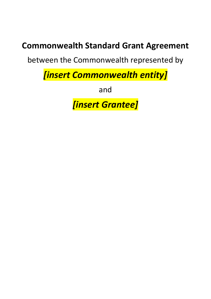# **Commonwealth Standard Grant Agreement**

between the Commonwealth represented by

*[insert Commonwealth entity]* 

and

*[insert Grantee]*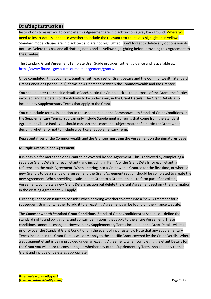## <span id="page-1-0"></span>**Drafting Instructions**

Instructions to assist you to complete this Agreement are in black text on a grey background. Where you need to insert details or choose whether to include the relevant text the text is highlighted in yellow. Standard model clauses are in black text and are not highlighted. Don't forget to delete any options you do not use. Delete this box and all drafting notes and all yellow highlighting before providing this Agreement to the Grantee.

The Standard Grant Agreement Template User Guide provides further guidance and is available at: [https://www.finance.gov.au/resource-management/grants/.](https://www.finance.gov.au/resource-management/grants/)

Once completed, this document, together with each set of Grant Details and the Commonwealth Standard Grant Conditions (Schedule 1), forms an Agreement between the Commonwealth and the Grantee.

You should enter the specific details of each particular Grant, such as the purpose of the Grant, the Parties involved, and the details of the Activity to be undertaken, in the **Grant Details**. The Grant Details also include any Supplementary Terms that apply to the Grant.

You can include terms, in addition to those contained in the Commonwealth Standard Grant Conditions, in the **Supplementary Terms**. You can only include Supplementary Terms that come from the Standard Agreement Clause Bank. You should consider the scope and subject matter of a particular Grant when deciding whether or not to include a particular Supplementary Term.

Representatives of the Commonwealth and the Grantee must sign the Agreement on the **signatures page**.

#### **Multiple Grants in one Agreement**

It is possible for more than one Grant to be covered by one Agreement. This is achieved by completing a separate Grant Details for each Grant - and including in Item A of the Grant Details for each Grant, a reference to the main Agreement. When entering into a Grant with a Grantee for the first time, or where a new Grant is to be a standalone agreement, the Grant Agreement section should be completed to create the new Agreement. When providing a subsequent Grant to a Grantee that is to form part of an existing Agreement, complete a new Grant Details section but delete the Grant Agreement section - the information in the existing Agreement will apply.

Further guidance on issues to consider when deciding whether to enter into a 'new' Agreement for a subsequent Grant or whether to add it to an existing Agreement can be found on the Finance website.

The **Commonwealth Standard Grant Conditions** (Standard Grant Conditions) at Schedule 1 define the standard rights and obligations, and contain definitions, that apply to the entire Agreement. These conditions cannot be changed. However, any Supplementary Terms included in the Grant Details will take priority over the Standard Grant Conditions in the event of inconsistency. Note that any Supplementary Terms included in the Grant Details will only apply to the specific Grant covered by the Grant Details. Where a subsequent Grant is being provided under an existing Agreement, when completing the Grant Details for the Grant you will need to consider again whether any of the Supplementary Terms should apply to that Grant and include or delete as appropriate.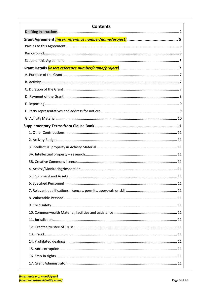| <b>Contents</b> |
|-----------------|
|                 |
|                 |
|                 |
|                 |
|                 |
|                 |
|                 |
|                 |
|                 |
|                 |
|                 |
|                 |
|                 |
|                 |
|                 |
|                 |
|                 |
|                 |
|                 |
|                 |
|                 |
|                 |
|                 |
|                 |
|                 |
|                 |
|                 |
|                 |
|                 |
|                 |
|                 |
|                 |
|                 |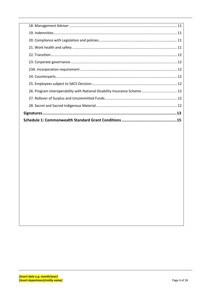| 26. Program interoperability with National Disability Insurance Scheme  12 |
|----------------------------------------------------------------------------|
|                                                                            |
|                                                                            |
|                                                                            |
|                                                                            |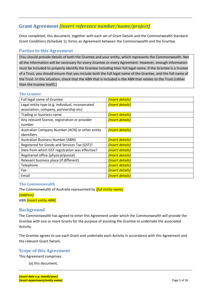## <span id="page-4-0"></span>**Grant Agreement** *[insert reference number/name/project]*

Once completed, this document, together with each set of Grant Details and the Commonwealth Standard Grant Conditions (Schedule 1), forms an Agreement between the Commonwealth and the Grantee.

## <span id="page-4-1"></span>**Parties to this Agreement**

[You should provide details of both the Grantee and your entity, which represents the Commonwealth. Not all the information will be necessary for every Grantee or every Agreement. However, enough information must be included to properly identify the Grantee including their full legal name. If the Grantee is a trustee of a Trust, you should ensure that you include both the full legal name of the Grantee, and the full name of the Trust. In this situation, check that the ABN that is included is the ABN that relates to the Trust (rather than the trustee itself).]

#### **The Grantee**

| Full legal name of Grantee                       | <b>[insert details]</b> |
|--------------------------------------------------|-------------------------|
| Legal entity type (e.g. individual, incorporated | <b>[insert details]</b> |
| association, company, partnership etc)           |                         |
| Trading or business name                         | <b>[insert details]</b> |
| Any relevant licence, registration or provider   | <b>[insert details]</b> |
| number                                           |                         |
| Australian Company Number (ACN) or other entity  | <b>[insert details]</b> |
| identifiers                                      |                         |
| Australian Business Number (ABN)                 | <b>[insert details]</b> |
| Registered for Goods and Services Tax (GST)?     | <b>[insert details]</b> |
| Date from which GST registration was effective?  | <b>[insert details]</b> |
| Registered office (physical/postal)              | [insert details]        |
| Relevant business place (if different)           | <b>[insert details]</b> |
| Telephone                                        | <b>[insert details]</b> |
| Fax                                              | <b>[insert details]</b> |
| Email                                            | <b>finsert details]</b> |

#### **The Commonwealth**

The Commonwealth of Australia represented by *[full entity name] [address]*

ABN *[insert entity ABN]*

## <span id="page-4-2"></span>**Background**

The Commonwealth has agreed to enter this Agreement under which the Commonwealth will provide the Grantee with one or more Grants for the purpose of assisting the Grantee to undertake the associated Activity.

The Grantee agrees to use each Grant and undertake each Activity in accordance with this Agreement and the relevant Grant Details.

## <span id="page-4-3"></span>**Scope of this Agreement**

This Agreement comprises:

(a) this document;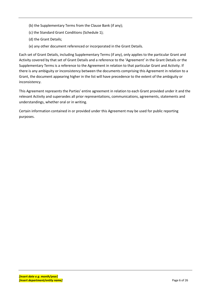- (b) the Supplementary Terms from the Clause Bank (if any);
- (c) the Standard Grant Conditions (Schedule 1);
- (d) the Grant Details;
- (e) any other document referenced or incorporated in the Grant Details.

Each set of Grant Details, including Supplementary Terms (if any), only applies to the particular Grant and Activity covered by that set of Grant Details and a reference to the 'Agreement' in the Grant Details or the Supplementary Terms is a reference to the Agreement in relation to that particular Grant and Activity. If there is any ambiguity or inconsistency between the documents comprising this Agreement in relation to a Grant, the document appearing higher in the list will have precedence to the extent of the ambiguity or inconsistency.

This Agreement represents the Parties' entire agreement in relation to each Grant provided under it and the relevant Activity and supersedes all prior representations, communications, agreements, statements and understandings, whether oral or in writing.

Certain information contained in or provided under this Agreement may be used for public reporting purposes.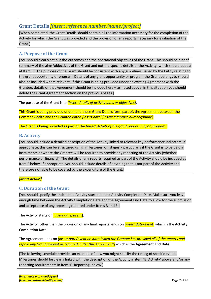## <span id="page-6-0"></span>**Grant Details** *[insert reference number/name/project]*

[When completed, the Grant Details should contain all the information necessary for the completion of the Activity for which the Grant was provided and the provision of any reports necessary for evaluation of the Grant.]

## <span id="page-6-1"></span>**A. Purpose of the Grant**

[You should clearly set out the outcomes and the operational objectives of the Grant. This should be a brief summary of the aims/objectives of the Grant and not the specific details of the Activity (which should appear at Item B). The purpose of the Grant should be consistent with any guidelines issued by the Entity relating to the grant opportunity or program. Details of any grant opportunity or program the Grant belongs to should also be included where relevant. If this Grant is being provided under an existing Agreement with the Grantee, details of that Agreement should be included here – as noted above, in this situation you should delete the Grant Agreement section on the previous pages.]

The purpose of the Grant is to *[insert details of activity aims or objectives]*.

This Grant is being provided under, and these Grant Details form part of, the Agreement between the Commonwealth and the Grantee dated *[insert date] [insert reference number/*name].

The Grant is being provided as part of the *[insert details of the grant opportunity or program]*.

## <span id="page-6-2"></span>**B. Activity**

[You should include a detailed description of the Activity linked to relevant key performance indicators. If appropriate, this can be structured using 'milestones' or 'stages' - particularly if the Grant is to be paid in instalments or where the Grantee will be required to provide any reporting of the Activity (whether performance or financial). The details of any reports required as part of the Activity should be included at Item E below. If appropriate, you should include details of anything that is not part of the Activity and therefore not able to be covered by the expenditure of the Grant.]

## *[insert details]*

## <span id="page-6-3"></span>**C. Duration of the Grant**

[You should specify the anticipated Activity start date and Activity Completion Date. Make sure you leave enough time between the Activity Completion Date and the Agreement End Date to allow for the submission and acceptance of any reporting required under Items B and E.]

The Activity starts on [*insert date/event*].

The Activity (other than the provision of any final reports) ends on [*insert date/event*] which is the **Activity Completion Date**.

The Agreement ends on *[insert date/event or state 'when the Grantee has provided all of the reports and repaid any Grant amount as required under this Agreement']* which is the **Agreement End Date**.

[The following schedule provides an example of how you might specify the timing of specific events. Milestones should be clearly linked with the description of the Activity in item 'B. Activity' above and/or any reporting requirements in item 'E. Reporting' below.]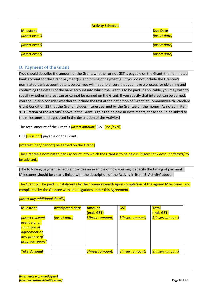| <b>Activity Schedule</b> |                 |  |
|--------------------------|-----------------|--|
| <b>Milestone</b>         | <b>Due Date</b> |  |
| [insert event]           | [insert date]   |  |
| [insert event]           | [insert date]   |  |
| [insert event]           | [insert date]   |  |

## <span id="page-7-0"></span>**D. Payment of the Grant**

[You should describe the amount of the Grant, whether or not GST is payable on the Grant, the nominated bank account for the Grant payment(s), and timing of payment(s). If you do not include the Grantee's nominated bank account details below, you will need to ensure that you have a process for obtaining and confirming the details of the bank account into which the Grant is to be paid. If applicable, you may wish to specify whether interest can or cannot be earned on the Grant. If you specify that interest can be earned, you should also consider whether to include the text at the definition of 'Grant' at Commonwealth Standard Grant Condition 22 that the Grant includes interest earned by the Grantee on the money. As noted in item 'C. Duration of the Activity' above, if the Grant is going to be paid in instalments, these should be linked to the milestones or stages used in the description of the Activity.]

The total amount of the Grant is *[insert amount]* (GST [incl/excl]).

GST *[is/ is not]* payable on the Grant.

[Interest [can/ cannot] be earned on the Grant.]

The Grantee's nominated bank account into which the Grant is to be paid is *[insert bank account details*/ to be advised*]*.

[The following payment schedule provides an example of how you might specify the timing of payments. Milestones should be clearly linked with the description of the Activity in item 'B. Activity' above.]

The Grant will be paid in instalments by the Commonwealth upon completion of the agreed Milestones, and compliance by the Grantee with its obligations under this Agreement.

*[insert any additional details]* 

| <b>Milestone</b>               | <b>Anticipated date</b> | <b>Amount</b>                   | <b>GST</b>                      | <b>Total</b>                    |
|--------------------------------|-------------------------|---------------------------------|---------------------------------|---------------------------------|
|                                |                         | (excl. GST)                     |                                 | (incl. GST)                     |
| <i><b>finsert relevant</b></i> | <i>[insert date]</i>    | <b>\$[insert amount]</b>        | <i><b>\$[insert amount]</b></i> | <i><b>\$[insert amount]</b></i> |
| event e.g. on                  |                         |                                 |                                 |                                 |
| signature of                   |                         |                                 |                                 |                                 |
| agreement or                   |                         |                                 |                                 |                                 |
| acceptance of                  |                         |                                 |                                 |                                 |
| progress report]               |                         |                                 |                                 |                                 |
|                                |                         |                                 |                                 |                                 |
| <b>Total Amount</b>            |                         | <i><b>\$finsert amount]</b></i> | <i><b>\$[insert amount]</b></i> | <i><b>\$[insert amount]</b></i> |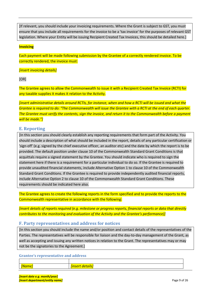[If relevant, you should include your invoicing requirements. Where the Grant is subject to GST, you must ensure that you include all requirements for the invoice to be a 'tax invoice' for the purposes of relevant GST legislation. Where your Entity will be issuing Recipient Created Tax Invoices, this should be detailed here.]

#### **Invoicing**

Each payment will be made following submission by the Grantee of a correctly rendered invoice. To be correctly rendered, the invoice must:

#### *[insert invoicing details]*

[OR]

The Grantee agrees to allow the Commonwealth to issue it with a Recipient Created Tax Invoice (RCTI) for any taxable supplies it makes it relation to the Activity.

*[insert administrative details around RCTIs, for instance, when and how a RCTI will be issued and what the Grantee is required to do: "The Commonwealth will issue the Grantee with a RCTI at the end of each quarter. The Grantee must verify the contents, sign the invoice, and return it to the Commonwealth before a payment will be made."]*

#### <span id="page-8-0"></span>**E. Reporting**

[In this section you should clearly establish any reporting requirements that form part of the Activity. You should include a description of what should be included in the report, details of any particular certification or 'sign-off' (e.g. signed by the chief executive officer, an auditor etc) and the date by which the report is to be provided. The default position under clause 10 of the Commonwealth Standard Grant Conditions is that acquittals require a signed statement by the Grantee. You should indicate who is required to sign the statement here if there is a requirement for a particular individual to do so. If the Grantee is required to provide unaudited financial statements, include Alternative Option 1 to clause 10 of the Commonwealth Standard Grant Conditions. If the Grantee is required to provide independently audited financial reports, include Alternative Option 2 to clause 10 of the Commonwealth Standard Grant Conditions. These requirements should be indicated here also.

The Grantee agrees to create the following reports in the form specified and to provide the reports to the Commonwealth representative in accordance with the following:

*[insert details of reports required (e.g. milestone or progress reports, financial reports or data that directly contributes to the monitoring and evaluation of the Activity and the Grantee's performance)]* 

#### <span id="page-8-1"></span>**F. Party representatives and address for notices**

[In this section you should include the name and/or position and contact details of the representatives of the Parties. The representatives will be responsible for liaison and the day-to-day management of the Grant, as well as accepting and issuing any written notices in relation to the Grant. The representatives may or may not be the signatories to the Agreement.]

#### **Grantee's representative and address**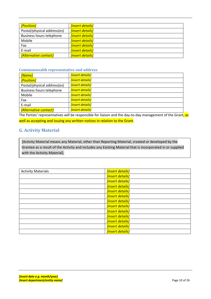| [Position]                      | <mark>[insert details]</mark> |
|---------------------------------|-------------------------------|
| Postal/physical address(es)     | <b>[insert details]</b>       |
| <b>Business hours telephone</b> | <b>[insert details]</b>       |
| Mobile                          | <b>[insert details]</b>       |
| Fax                             | <b>[insert details]</b>       |
| E-mail                          | <b>[insert details]</b>       |
| [Alternative contact]           | <b>[insert details]</b>       |

#### **Commonwealth representative and address**

| [Name]                      | [insert details]               |
|-----------------------------|--------------------------------|
| [Position]                  | <b>[insert details]</b>        |
| Postal/physical address(es) | <i><b>[insert details]</b></i> |
| Business hours telephone    | [insert details]               |
| Mobile                      | [insert details]               |
| Fax                         | <b>finsert details]</b>        |
| E-mail                      | <b>finsert details]</b>        |
| [Alternative contact]       | <b>[insert details]</b>        |

The Parties' representatives will be responsible for liaison and the day-to-day management of the Grant, as well as accepting and issuing any written notices in relation to the Grant.

## <span id="page-9-0"></span>**G. Activity Material**

[Activity Material means any Material, other than Reporting Material, created or developed by the Grantee as a result of the Activity and includes any Existing Material that is incorporated in or supplied with the Activity Material].

| <b>Activity Materials</b> | [insert details]        |
|---------------------------|-------------------------|
|                           | <b>[insert details]</b> |
|                           | [insert details]        |
|                           | <b>[insert details]</b> |
|                           | <b>[insert details]</b> |
|                           | <b>[insert details]</b> |
|                           | [insert details]        |
|                           | <b>[insert details]</b> |
|                           | <b>[insert details]</b> |
|                           | <b>[insert details]</b> |
|                           | <b>[insert details]</b> |
|                           | <b>[insert details]</b> |
|                           | <b>[insert details]</b> |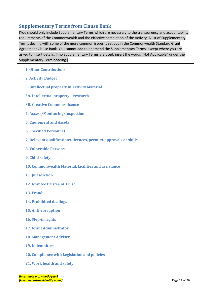## <span id="page-10-0"></span>**Supplementary Terms from Clause Bank**

[You should only include Supplementary Terms which are necessary to the transparency and accountability requirements of the Commonwealth and the effective completion of the Activity. A list of Supplementary Terms dealing with some of the more common issues is set out in the Commonwealth Standard Grant Agreement Clause Bank. You cannot add to or amend the Supplementary Terms, except where you are asked to insert details. If no Supplementary Terms are used, insert the words "Not Applicable" under the Supplementary Term heading.]

- <span id="page-10-1"></span>**1. Other Contributions**
- <span id="page-10-2"></span>**2. Activity Budget**
- <span id="page-10-3"></span>**3. Intellectual property in Activity Material**
- <span id="page-10-4"></span>**3A. Intellectual property – research**
- <span id="page-10-5"></span>**3B. Creative Commons licence**
- <span id="page-10-6"></span>**4. Access/Monitoring/Inspection**
- <span id="page-10-7"></span>**5. Equipment and Assets**
- <span id="page-10-8"></span>**6. Specified Personnel**
- <span id="page-10-9"></span>**7. Relevant qualifications, licences, permits, approvals or skills**
- <span id="page-10-10"></span>**8. Vulnerable Persons**
- <span id="page-10-11"></span>**9. Child safety**
- <span id="page-10-12"></span>**10. Commonwealth Material, facilities and assistance**
- <span id="page-10-13"></span>**11. Jurisdiction**
- <span id="page-10-14"></span>**12. Grantee trustee of Trust**
- <span id="page-10-15"></span>**13. Fraud**
- <span id="page-10-16"></span>**14. Prohibited dealings**
- <span id="page-10-17"></span>**15. Anti-corruption**
- <span id="page-10-18"></span>**16. Step-in rights**
- <span id="page-10-19"></span>**17. Grant Administrator**
- <span id="page-10-20"></span>**18. Management Adviser**
- <span id="page-10-21"></span>**19. Indemnities**
- <span id="page-10-22"></span>**20. Compliance with Legislation and policies**
- <span id="page-10-23"></span>**21. Work health and safety**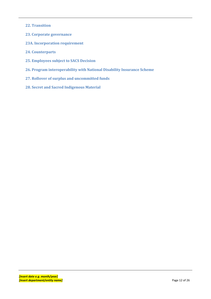- <span id="page-11-0"></span>**22. Transition**
- <span id="page-11-1"></span>**23. Corporate governance**
- <span id="page-11-2"></span>**23A. Incorporation requirement**
- <span id="page-11-3"></span>**24. Counterparts**
- <span id="page-11-4"></span>**25. Employees subject to SACS Decision**
- <span id="page-11-5"></span>**26. Program interoperability with National Disability Insurance Scheme**
- <span id="page-11-6"></span>**27. Rollover of surplus and uncommitted funds**
- <span id="page-11-7"></span>**28. Secret and Sacred Indigenous Material**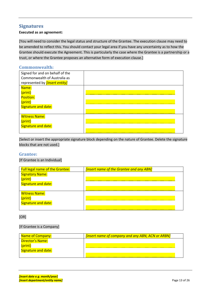## <span id="page-12-0"></span>**Signatures**

#### **Executed as an agreement:**

[You will need to consider the legal status and structure of the Grantee. The execution clause may need to be amended to reflect this. You should contact your legal area if you have any uncertainty as to how the Grantee should execute the Agreement. This is particularly the case where the Grantee is a partnership or a trust, or where the Grantee proposes an alternative form of execution clause.]

### **Commonwealth:**

| Signed for and on behalf of the<br>Commonwealth of Australia as<br>represented by <i>[insert entity]</i> |  |
|----------------------------------------------------------------------------------------------------------|--|
| Name:<br>(print)<br>Position:<br>(print)<br>Signature and date:                                          |  |
| <b>Witness Name:</b><br>(print)<br>Signature and date:                                                   |  |

[Select or insert the appropriate signature block depending on the nature of Grantee. Delete the signature blocks that are not used.]

#### **Grantee:**

[If Grantee is an Individual]

| <b>Full legal name of the Grantee:</b> | <b>finsert name of the Grantee and any ABN</b> |
|----------------------------------------|------------------------------------------------|
| <b>Signatory Name:</b>                 |                                                |
|                                        |                                                |
| Signature and date:                    |                                                |
|                                        |                                                |
| <b>Witness Name:</b>                   |                                                |
| (print)                                |                                                |
| Signature and date:                    |                                                |
|                                        |                                                |

[OR]

### [If Grantee is a Company]

| <b>Name of Company:</b>    | [insert name of company and any ABN, ACN or ARBN] |
|----------------------------|---------------------------------------------------|
| Director's Name:           |                                                   |
| (print)                    |                                                   |
| <b>Signature and date:</b> |                                                   |
|                            |                                                   |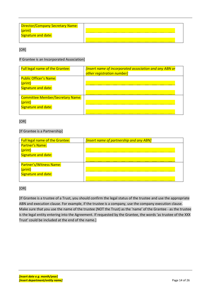| Director/Company Secretary Name:<br>Signature and date: |  |
|---------------------------------------------------------|--|
|                                                         |  |

[OR]

#### If Grantee is an Incorporated Association]

| <b>Full legal name of the Grantee:</b>                                    | <b>linsert name of incorporated association and any ABN or</b><br>other registration number] |
|---------------------------------------------------------------------------|----------------------------------------------------------------------------------------------|
| <b>Public Officer's Name:</b><br>(print)<br>Signature and date:           |                                                                                              |
| <b>Committee Member/Secretary Name:</b><br>(print)<br>Signature and date: |                                                                                              |

#### [OR]

#### [If Grantee is a Partnership]

| <b>Full legal name of the Grantee:</b>                    | <b>finsert name of partnership and any ABN]</b> |  |
|-----------------------------------------------------------|-------------------------------------------------|--|
| <b>Partner's Name:</b><br>(print)<br>Signature and date:  |                                                 |  |
| Partner's/Witness Name:<br>(print)<br>Signature and date: |                                                 |  |

#### [OR]

[If Grantee is a trustee of a Trust, you should confirm the legal status of the trustee and use the appropriate ABN and execution clause. For example, if the trustee is a company, use the company execution clause. Make sure that you use the name of the trustee (NOT the Trust) as the 'name' of the Grantee - as the trustee is the legal entity entering into the Agreement. If requested by the Grantee, the words 'as trustee of the XXX Trust' could be included at the end of the name.]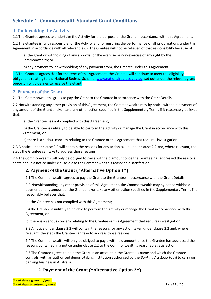## <span id="page-14-0"></span>**Schedule 1: Commonwealth Standard Grant Conditions**

## **1. Undertaking the Activity**

1.1 The Grantee agrees to undertake the Activity for the purpose of the Grant in accordance with this Agreement.

1.2 The Grantee is fully responsible for the Activity and for ensuring the performance of all its obligations under this Agreement in accordance with all relevant laws. The Grantee will not be relieved of that responsibility because of:

(a) the grant or withholding of any approval or the exercise or non-exercise of any right by the Commonwealth; or

(b) any payment to, or withholding of any payment from, the Grantee under this Agreement.

1.3 The Grantee agrees that for the term of this Agreement, the Grantee will continue to meet the eligibility obligations relating to the National Redress Scheme [\(www.nationalredress.gov.au\)](http://www.nationalredress.gov.au/) set out under the relevant grant opportunity guidelines to receive the Grant.

#### **2. Payment of the Grant**

2.1 The Commonwealth agrees to pay the Grant to the Grantee in accordance with the Grant Details.

2.2 Notwithstanding any other provision of this Agreement, the Commonwealth may by notice withhold payment of any amount of the Grant and/or take any other action specified in the Supplementary Terms if it reasonably believes that:

(a) the Grantee has not complied with this Agreement;

(b) the Grantee is unlikely to be able to perform the Activity or manage the Grant in accordance with this Agreement; or

(c) there is a serious concern relating to the Grantee or this Agreement that requires investigation.

2.3 A notice under clause 2.2 will contain the reasons for any action taken under clause 2.2 and, where relevant, the steps the Grantee can take to address those reasons.

2.4 The Commonwealth will only be obliged to pay a withheld amount once the Grantee has addressed the reasons contained in a notice under clause 2.2 to the Commonwealth's reasonable satisfaction.

## **2. Payment of the Grant (^Alternative Option 1^)**

2.1 The Commonwealth agrees to pay the Grant to the Grantee in accordance with the Grant Details.

2.2 Notwithstanding any other provision of this Agreement, the Commonwealth may by notice withhold payment of any amount of the Grant and/or take any other action specified in the Supplementary Terms if it reasonably believes that:

(a) the Grantee has not complied with this Agreement;

(b) the Grantee is unlikely to be able to perform the Activity or manage the Grant in accordance with this Agreement; or

(c) there is a serious concern relating to the Grantee or this Agreement that requires investigation.

2.3 A notice under clause 2.2 will contain the reasons for any action taken under clause 2.2 and, where relevant, the steps the Grantee can take to address those reasons.

2.4 The Commonwealth will only be obliged to pay a withheld amount once the Grantee has addressed the reasons contained in a notice under clause 2.2 to the Commonwealth's reasonable satisfaction.

2.5 The Grantee agrees to hold the Grant in an account in the Grantee's name and which the Grantee controls, with an authorised deposit-taking institution authorised by the *Banking Act 1959* (Cth) to carry on banking business in Australia.

## **2. Payment of the Grant (^Alternative Option 2^)**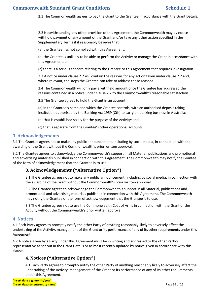2.1 The Commonwealth agrees to pay the Grant to the Grantee in accordance with the Grant Details.

2.2 Notwithstanding any other provision of this Agreement, the Commonwealth may by notice withhold payment of any amount of the Grant and/or take any other action specified in the Supplementary Terms if it reasonably believes that:

(a) the Grantee has not complied with this Agreement;

(b) the Grantee is unlikely to be able to perform the Activity or manage the Grant in accordance with this Agreement; or

(c) there is a serious concern relating to the Grantee or this Agreement that requires investigation.

2.3 A notice under clause 2.2 will contain the reasons for any action taken under clause 2.2 and, where relevant, the steps the Grantee can take to address those reasons.

2.4 The Commonwealth will only pay a withheld amount once the Grantee has addressed the reasons contained in a notice under clause 2.2 to the Commonwealth's reasonable satisfaction.

2.5 The Grantee agrees to hold the Grant in an account:

(a) in the Grantee's name and which the Grantee controls, with an authorised deposit-taking institution authorised by the Banking Act 1959 (Cth) to carry on banking business in Australia;

(b) that is established solely for the purpose of the Activity; and

(c) that is separate from the Grantee's other operational accounts.

#### **3. Acknowledgements**

3.1 The Grantee agrees not to make any public announcement, including by social media, in connection with the awarding of the Grant without the Commonwealth's prior written approval.

3.2 The Grantee agrees to acknowledge the Commonwealth's support in all Material, publications and promotional and advertising materials published in connection with this Agreement. The Commonwealth may notify the Grantee of the form of acknowledgement that the Grantee is to use.

## **3. Acknowledgements (^Alternative Option^)**

3.1 The Grantee agrees not to make any public announcement, including by social media, in connection with the awarding of the Grant without the Commonwealth's prior written approval.

3.2 The Grantee agrees to acknowledge the Commonwealth's support in all Material, publications and promotional and advertising materials published in connection with this Agreement. The Commonwealth may notify the Grantee of the form of acknowledgement that the Grantee is to use.

3.3 The Grantee agrees not to use the Commonwealth Coat of Arms in connection with the Grant or the Activity without the Commonwealth's prior written approval.

#### **4. Notices**

4.1 Each Party agrees to promptly notify the other Party of anything reasonably likely to adversely affect the undertaking of the Activity, management of the Grant or its performance of any of its other requirements under this Agreement.

4.2 A notice given by a Party under this Agreement must be in writing and addressed to the other Party's representative as set out in the Grant Details or as most recently updated by notice given in accordance with this clause.

## **4. Notices (^Alternative Option^)**

4.1 Each Party agrees to promptly notify the other Party of anything reasonably likely to adversely affect the undertaking of the Activity, management of the Grant or its performance of any of its other requirements under this Agreement.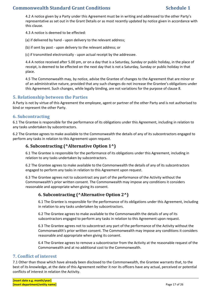4.2 A notice given by a Party under this Agreement must be in writing and addressed to the other Party's representative as set out in the Grant Details or as most recently updated by notice given in accordance with this clause.

4.3 A notice is deemed to be effected:

(a) if delivered by hand - upon delivery to the relevant address;

(b) if sent by post - upon delivery to the relevant address; or

(c) if transmitted electronically - upon actual receipt by the addressee.

4.4 A notice received after 5.00 pm, or on a day that is a Saturday, Sunday or public holiday, in the place of receipt, is deemed to be effected on the next day that is not a Saturday, Sunday or public holiday in that place.

4.5 The Commonwealth may, by notice, advise the Grantee of changes to the Agreement that are minor or of an administrative nature, provided that any such changes do not increase the Grantee's obligations under this Agreement. Such changes, while legally binding, are not variations for the purpose of clause 8.

## **5. Relationship between the Parties**

A Party is not by virtue of this Agreement the employee, agent or partner of the other Party and is not authorised to bind or represent the other Party.

#### **6. Subcontracting**

6.1 The Grantee is responsible for the performance of its obligations under this Agreement, including in relation to any tasks undertaken by subcontractors.

6.2 The Grantee agrees to make available to the Commonwealth the details of any of its subcontractors engaged to perform any tasks in relation to this Agreement upon request.

## **6. Subcontracting (^Alternative Option 1^)**

6.1 The Grantee is responsible for the performance of its obligations under this Agreement, including in relation to any tasks undertaken by subcontractors.

6.2 The Grantee agrees to make available to the Commonwealth the details of any of its subcontractors engaged to perform any tasks in relation to this Agreement upon request.

6.3 The Grantee agrees not to subcontract any part of the performance of the Activity without the Commonwealth's prior written consent. The Commonwealth may impose any conditions it considers reasonable and appropriate when giving its consent.

## **6. Subcontracting (^Alternative Option 2^)**

6.1 The Grantee is responsible for the performance of its obligations under this Agreement, including in relation to any tasks undertaken by subcontractors.

6.2 The Grantee agrees to make available to the Commonwealth the details of any of its subcontractors engaged to perform any tasks in relation to this Agreement upon request.

6.3 The Grantee agrees not to subcontract any part of the performance of the Activity without the Commonwealth's prior written consent. The Commonwealth may impose any conditions it considers reasonable and appropriate when giving its consent.

6.4 The Grantee agrees to remove a subcontractor from the Activity at the reasonable request of the Commonwealth and at no additional cost to the Commonwealth.

#### **7. Conflict of interest**

7.1 Other than those which have already been disclosed to the Commonwealth, the Grantee warrants that, to the best of its knowledge, at the date of this Agreement neither it nor its officers have any actual, perceived or potential conflicts of interest in relation the Activity.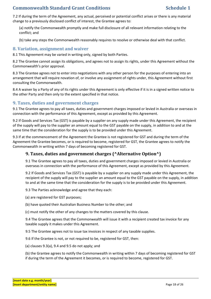7.2 If during the term of the Agreement, any actual, perceived or potential conflict arises or there is any material change to a previously disclosed conflict of interest, the Grantee agrees to:

(a) notify the Commonwealth promptly and make full disclosure of all relevant information relating to the conflict; and

(b) take any steps the Commonwealth reasonably requires to resolve or otherwise deal with that conflict.

#### **8. Variation, assignment and waiver**

8.1 This Agreement may be varied in writing only, signed by both Parties.

8.2 The Grantee cannot assign its obligations, and agrees not to assign its rights, under this Agreement without the Commonwealth's prior approval.

8.3 The Grantee agrees not to enter into negotiations with any other person for the purposes of entering into an arrangement that will require novation of, or involve any assignment of rights under, this Agreement without first consulting the Commonwealth.

8.4 A waiver by a Party of any of its rights under this Agreement is only effective if it is in a signed written notice to the other Party and then only to the extent specified in that notice.

## **9. Taxes, duties and government charges**

9.1 The Grantee agrees to pay all taxes, duties and government charges imposed or levied in Australia or overseas in connection with the performance of this Agreement, except as provided by this Agreement.

9.2 If Goods and Services Tax (GST) is payable by a supplier on any supply made under this Agreement, the recipient of the supply will pay to the supplier an amount equal to the GST payable on the supply, in addition to and at the same time that the consideration for the supply is to be provided under this Agreement.

9.3 If at the commencement of the Agreement the Grantee is not registered for GST and during the term of the Agreement the Grantee becomes, or is required to become, registered for GST, the Grantee agrees to notify the Commonwealth in writing within 7 days of becoming registered for GST.

## **9. Taxes, duties and government charges (^Alternative Option^)**

9.1 The Grantee agrees to pay all taxes, duties and government charges imposed or levied in Australia or overseas in connection with the performance of this Agreement, except as provided by this Agreement.

9.2 If Goods and Services Tax (GST) is payable by a supplier on any supply made under this Agreement, the recipient of the supply will pay to the supplier an amount equal to the GST payable on the supply, in addition to and at the same time that the consideration for the supply is to be provided under this Agreement.

9.3 The Parties acknowledge and agree that they each:

(a) are registered for GST purposes;

(b) have quoted their Australian Business Number to the other; and

(c) must notify the other of any changes to the matters covered by this clause.

9.4 The Grantee agrees that the Commonwealth will issue it with a recipient created tax invoice for any taxable supply it makes under this Agreement.

9.5 The Grantee agrees not to issue tax invoices in respect of any taxable supplies.

9.6 If the Grantee is not, or not required to be, registered for GST, then:

(a) clauses 9.3(a), 9.4 and 9.5 do not apply; and

(b) the Grantee agrees to notify the Commonwealth in writing within 7 days of becoming registered for GST if during the term of the Agreement it becomes, or is required to become, registered for GST.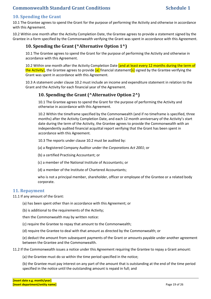## **10. Spending the Grant**

10.1 The Grantee agrees to spend the Grant for the purpose of performing the Activity and otherwise in accordance with this Agreement.

10.2 Within one month after the Activity Completion Date, the Grantee agrees to provide a statement signed by the Grantee in a form specified by the Commonwealth verifying the Grant was spent in accordance with this Agreement.

## **10. Spending the Grant (^Alternative Option 1^)**

10.1 The Grantee agrees to spend the Grant for the purpose of performing the Activity and otherwise in accordance with this Agreement.

10.2 Within one month after the Activity Completion Date **[and at least every 12 months during the term of** the Activity], the Grantee agrees to provide [a] financial statement[s] signed by the Grantee verifying the Grant was spent in accordance with this Agreement.

10.3 A statement under clause 10.2 must include an income and expenditure statement in relation to the Grant and the Activity for each financial year of the Agreement.

## **10. Spending the Grant (^Alternative Option 2^)**

10.1 The Grantee agrees to spend the Grant for the purpose of performing the Activity and otherwise in accordance with this Agreement.

10.2 Within the timeframe specified by the Commonwealth (and if no timeframe is specified, three months) after the Activity Completion Date, and each 12 month anniversary of the Activity's start date during the term of the Activity, the Grantee agrees to provide the Commonwealth with an independently audited financial acquittal report verifying that the Grant has been spent in accordance with this Agreement.

10.3 The reports under clause 10.2 must be audited by:

(a) a Registered Company Auditor under the *Corporations Act 2001*; or

(b) a certified Practising Accountant; or

(c) a member of the National Institute of Accountants; or

(d) a member of the Institute of Chartered Accountants;

who is not a principal member, shareholder, officer or employee of the Grantee or a related body corporate.

#### **11. Repayment**

11.1 If any amount of the Grant:

(a) has been spent other than in accordance with this Agreement; or

(b) is additional to the requirements of the Activity;

then the Commonwealth may by written notice:

(c) require the Grantee to repay that amount to the Commonwealth;

(d) require the Grantee to deal with that amount as directed by the Commonwealth; or

(e) deduct the amount from subsequent payments of the Grant or amounts payable under another agreement between the Grantee and the Commonwealth.

11.2 If the Commonwealth issues a notice under this Agreement requiring the Grantee to repay a Grant amount:

(a) the Grantee must do so within the time period specified in the notice;

(b) the Grantee must pay interest on any part of the amount that is outstanding at the end of the time period specified in the notice until the outstanding amount is repaid in full; and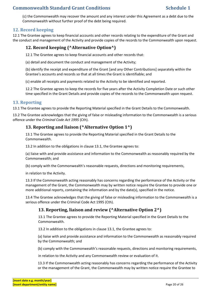(c) the Commonwealth may recover the amount and any interest under this Agreement as a debt due to the Commonwealth without further proof of the debt being required.

## **12. Record keeping**

12.1 The Grantee agrees to keep financial accounts and other records relating to the expenditure of the Grant and the conduct and management of the Activity and provide copies of the records to the Commonwealth upon request.

## **12. Record keeping (^Alternative Option^)**

12.1 The Grantee agrees to keep financial accounts and other records that:

(a) detail and document the conduct and management of the Activity;

(b) identify the receipt and expenditure of the Grant [and any Other Contributions] separately within the Grantee's accounts and records so that at all times the Grant is identifiable; and

(c) enable all receipts and payments related to the Activity to be identified and reported.

12.2 The Grantee agrees to keep the records for five years after the Activity Completion Date or such other time specified in the Grant Details and provide copies of the records to the Commonwealth upon request.

## **13. Reporting**

13.1 The Grantee agrees to provide the Reporting Material specified in the Grant Details to the Commonwealth.

13.2 The Grantee acknowledges that the giving of false or misleading information to the Commonwealth is a serious offence under the *Criminal Code Act 1995* (Cth).

## **13. Reporting and liaison (^Alternative Option 1^)**

13.1 The Grantee agrees to provide the Reporting Material specified in the Grant Details to the Commonwealth.

13.2 In addition to the obligations in clause 13.1, the Grantee agrees to:

(a) liaise with and provide assistance and information to the Commonwealth as reasonably required by the Commonwealth; and

(b) comply with the Commonwealth's reasonable requests, directions and monitoring requirements,

in relation to the Activity.

13.3 If the Commonwealth acting reasonably has concerns regarding the performance of the Activity or the management of the Grant, the Commonwealth may by written notice require the Grantee to provide one or more additional reports, containing the information and by the date(s), specified in the notice.

13.4 The Grantee acknowledges that the giving of false or misleading information to the Commonwealth is a serious offence under the Criminal Code Act 1995 (Cth).

## **13. Reporting, liaison and review (^Alternative Option 2^)**

13.1 The Grantee agrees to provide the Reporting Material specified in the Grant Details to the Commonwealth.

13.2 In addition to the obligations in clause 13.1, the Grantee agrees to:

(a) liaise with and provide assistance and information to the Commonwealth as reasonably required by the Commonwealth; and

(b) comply with the Commonwealth's reasonable requests, directions and monitoring requirements,

in relation to the Activity and any Commonwealth review or evaluation of it.

13.3 If the Commonwealth acting reasonably has concerns regarding the performance of the Activity or the management of the Grant, the Commonwealth may by written notice require the Grantee to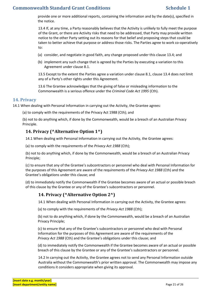provide one or more additional reports, containing the information and by the date(s), specified in the notice.

13.4 If, at any time, a Party reasonably believes that the Activity is unlikely to fully meet the purpose of the Grant, or there are Activity risks that need to be addressed, that Party may provide written notice to the other Party setting out its reasons for that belief and proposing steps that could be taken to better achieve that purpose or address those risks. The Parties agree to work co-operatively to:

- (a) consider, and negotiate in good faith, any change proposed under this clause 13.4; and
- (b) implement any such change that is agreed by the Parties by executing a variation to this Agreement under clause 8.1.

13.5 Except to the extent the Parties agree a variation under clause 8.1, clause 13.4 does not limit any of a Party's other rights under this Agreement.

13.6 The Grantee acknowledges that the giving of false or misleading information to the Commonwealth is a serious offence under the *Criminal Code Act 1995* (Cth).

#### **14. Privacy**

14.1 When dealing with Personal Information in carrying out the Activity, the Grantee agrees:

(a) to comply with the requirements of the Privacy Act 1988 (Cth); and

(b) not to do anything which, if done by the Commonwealth, would be a breach of an Australian Privacy Principle.

## **14. Privacy (^Alternative Option 1^)**

14.1 When dealing with Personal Information in carrying out the Activity, the Grantee agrees:

(a) to comply with the requirements of the *Privacy Act 1988* (Cth);

(b) not to do anything which, if done by the Commonwealth, would be a breach of an Australian Privacy Principle;

(c) to ensure that any of the Grantee's subcontractors or personnel who deal with Personal Information for the purposes of this Agreement are aware of the requirements of the *Privacy Act 1988* (Cth) and the Grantee's obligations under this clause; and

(d) to immediately notify the Commonwealth if the Grantee becomes aware of an actual or possible breach of this clause by the Grantee or any of the Grantee's subcontractors or personnel.

## **14. Privacy (^Alternative Option 2^)**

14.1 When dealing with Personal Information in carrying out the Activity, the Grantee agrees:

(a) to comply with the requirements of the *Privacy Act 1988* (Cth);

(b) not to do anything which, if done by the Commonwealth, would be a breach of an Australian Privacy Principle;

(c) to ensure that any of the Grantee's subcontractors or personnel who deal with Personal Information for the purposes of this Agreement are aware of the requirements of the *Privacy Act 1988* (Cth) and the Grantee's obligations under this clause; and

(d) to immediately notify the Commonwealth if the Grantee becomes aware of an actual or possible breach of this clause by the Grantee or any of the Grantee's subcontractors or personnel.

14.2 In carrying out the Activity, the Grantee agrees not to send any Personal Information outside Australia without the Commonwealth's prior written approval. The Commonwealth may impose any conditions it considers appropriate when giving its approval.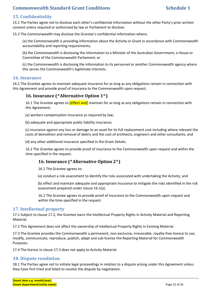## **15. Confidentiality**

15.1 The Parties agree not to disclose each other's confidential information without the other Party's prior written consent unless required or authorised by law or Parliament to disclose.

15.2 The Commonwealth may disclose the Grantee's confidential information where;

(a) the Commonwealth is providing information about the Activity or Grant in accordance with Commonwealth accountability and reporting requirements;

(b) the Commonwealth is disclosing the information to a Minister of the Australian Government, a House or Committee of the Commonwealth Parliament; or

(c) the Commonwealth is disclosing the information to its personnel or another Commonwealth agency where this serves the Commonwealth's legitimate interests.

#### **16. Insurance**

16.1 The Grantee agrees to maintain adequate insurance for as long as any obligations remain in connection with this Agreement and provide proof of insurance to the Commonwealth upon request.

## **16. Insurance (^Alternative Option 1^)**

16.1 The Grantee agrees to **[effect and]** maintain for as long as any obligations remain in connection with this Agreement:

(a) workers compensation insurance as required by law;

(b) adequate and appropriate public liability insurance;

(c) insurance against any loss or damage to an asset for its full replacement cost including where relevant the costs of demolition and removal of debris and the cost of architects, engineers and other consultants; and

(d) any other additional insurance specified in the Grant Details.

16.2 The Grantee agrees to provide proof of insurance to the Commonwealth upon request and within the time specified in the request.

## **16. Insurance (^Alternative Option 2^)**

16.1 The Grantee agrees to:

(a) conduct a risk assessment to identify the risks associated with undertaking the Activity; and

(b) effect and maintain adequate and appropriate insurance to mitigate the risks identified in the risk assessment prepared under clause 16.1(a).

16.2 The Grantee agrees to provide proof of insurance to the Commonwealth upon request and within the time specified in the request.

#### **17. Intellectual property**

17.1 Subject to clause 17.2, the Grantee owns the Intellectual Property Rights in Activity Material and Reporting Material.

17.2 This Agreement does not affect the ownership of Intellectual Property Rights in Existing Material.

17.3 The Grantee provides the Commonwealth a permanent, non-exclusive, irrevocable, royalty-free licence to use, modify, communicate, reproduce, publish, adapt and sub-license the Reporting Material for Commonwealth Purposes.

17.4 The licence in clause 17.3 does not apply to Activity Material.

## **18. Dispute resolution**

18.1 The Parties agree not to initiate legal proceedings in relation to a dispute arising under this Agreement unless they have first tried and failed to resolve the dispute by negotiation.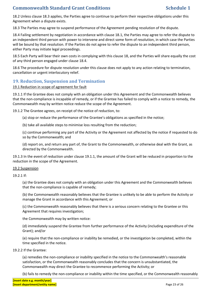18.2 Unless clause 18.3 applies, the Parties agree to continue to perform their respective obligations under this Agreement when a dispute exists.

18.3 The Parties may agree to suspend performance of the Agreement pending resolution of the dispute.

18.4 Failing settlement by negotiation in accordance with clause 18.1, the Parties may agree to refer the dispute to an independent third person with power to intervene and direct some form of resolution, in which case the Parties will be bound by that resolution. If the Parties do not agree to refer the dispute to an independent third person, either Party may initiate legal proceedings.

18.5 Each Party will bear their own costs in complying with this clause 18, and the Parties will share equally the cost of any third person engaged under clause 18.4.

18.6 The procedure for dispute resolution under this clause does not apply to any action relating to termination, cancellation or urgent interlocutory relief.

## **19. Reduction, Suspension and Termination**

#### 19.1 Reduction in scope of agreement for fault

19.1.1 If the Grantee does not comply with an obligation under this Agreement and the Commonwealth believes that the non-compliance is incapable of remedy, or if the Grantee has failed to comply with a notice to remedy, the Commonwealth may by written notice reduce the scope of the Agreement.

19.1.2 The Grantee agrees, on receipt of the notice of reduction, to:

(a) stop or reduce the performance of the Grantee's obligations as specified in the notice;

(b) take all available steps to minimise loss resulting from the reduction;

(c) continue performing any part of the Activity or the Agreement not affected by the notice if requested to do so by the Commonwealth; and

(d) report on, and return any part of, the Grant to the Commonwealth, or otherwise deal with the Grant, as directed by the Commonwealth.

19.1.3 In the event of reduction under clause 19.1.1, the amount of the Grant will be reduced in proportion to the reduction in the scope of the Agreement.

#### 19.2 Suspension

19.2.1 If:

(a) the Grantee does not comply with an obligation under this Agreement and the Commonwealth believes that the non-compliance is capable of remedy;

(b) the Commonwealth reasonably believes that the Grantee is unlikely to be able to perform the Activity or manage the Grant in accordance with this Agreement; or

(c) the Commonwealth reasonably believes that there is a serious concern relating to the Grantee or this Agreement that requires investigation;

the Commonwealth may by written notice:

(d) immediately suspend the Grantee from further performance of the Activity (including expenditure of the Grant); and/or

(e) require that the non-compliance or inability be remedied, or the investigation be completed, within the time specified in the notice.

#### 19.2.2 If the Grantee:

(a) remedies the non-compliance or inability specified in the notice to the Commonwealth's reasonable satisfaction, or the Commonwealth reasonably concludes that the concern is unsubstantiated, the Commonwealth may direct the Grantee to recommence performing the Activity; or

(b) fails to remedy the non-compliance or inability within the time specified, or the Commonwealth reasonably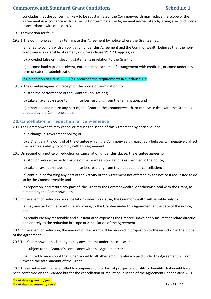concludes that the concern is likely to be substantiated, the Commonwealth may reduce the scope of the Agreement in accordance with clause 19.1 or terminate the Agreement immediately by giving a second notice in accordance with clause 19.3.

#### 19.3 Termination for fault

19.3.1 The Commonwealth may terminate this Agreement by notice where the Grantee has:

(a) failed to comply with an obligation under this Agreement and the Commonwealth believes that the noncompliance is incapable of remedy or where clause 19.2.2.b applies; or

(b) provided false or misleading statements in relation to the Grant; or

(c) become bankrupt or insolvent, entered into a scheme of arrangement with creditors, or come under any form of external administration.

(d) in addition to clause 19.3.1(a), breached the requirements in subclause 1.3.

19.3.2 The Grantee agrees, on receipt of the notice of termination, to:

(a) stop the performance of the Grantee's obligations;

(b) take all available steps to minimise loss resulting from the termination; and

(c) report on, and return any part of, the Grant to the Commonwealth, or otherwise deal with the Grant, as directed by the Commonwealth.

#### **20. Cancellation or reduction for convenience**

20.1 The Commonwealth may cancel or reduce the scope of this Agreement by notice, due to:

(a) a change in government policy; or

(b) a Change in the Control of the Grantee which the Commonwealth reasonably believes will negatively affect the Grantee's ability to comply with this Agreement.

20.2 On receipt of a notice of reduction or cancellation under this clause, the Grantee agrees to:

(a) stop or reduce the performance of the Grantee's obligations as specified in the notice;

(b) take all available steps to minimise loss resulting from that reduction or cancellation;

(c) continue performing any part of the Activity or the Agreement not affected by the notice if requested to do so by the Commonwealth; and

(d) report on, and return any part of, the Grant to the Commonwealth, or otherwise deal with the Grant, as directed by the Commonwealth.

20.3 In the event of reduction or cancellation under this clause, the Commonwealth will be liable only to:

(a) pay any part of the Grant due and owing to the Grantee under this Agreement at the date of the notice; and

(b) reimburse any reasonable and substantiated expenses the Grantee unavoidably incurs that relate directly and entirely to the reduction in scope or cancellation of the Agreement.

20.4 In the event of reduction, the amount of the Grant will be reduced in proportion to the reduction in the scope of the Agreement.

20.5 The Commonwealth's liability to pay any amount under this clause is:

(a) subject to the Grantee's compliance with this Agreement; and

(b) limited to an amount that when added to all other amounts already paid under the Agreement will not exceed the total amount of the Grant.

20.6 The Grantee will not be entitled to compensation for loss of prospective profits or benefits that would have been conferred on the Grantee but for the cancellation or reduction in scope of the Agreement under clause 20.1.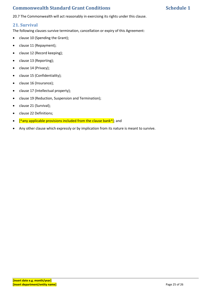## **Commonwealth Standard Grant Conditions Schedule 1** Schedule 1

20.7 The Commonwealth will act reasonably in exercising its rights under this clause.

### **21. Survival**

The following clauses survive termination, cancellation or expiry of this Agreement:

- clause 10 (Spending the Grant);
- clause 11 (Repayment);
- clause 12 (Record keeping);
- clause 13 (Reporting);
- clause 14 (Privacy);
- clause 15 (Confidentiality);
- clause 16 (Insurance);
- clause 17 (Intellectual property);
- clause 19 (Reduction, Suspension and Termination);
- clause 21 (Survival);
- clause 22 Definitions;
- $[$ <sup>^</sup>any applicable provisions included from the clause bank<sup>^</sup>]; and
- Any other clause which expressly or by implication from its nature is meant to survive.